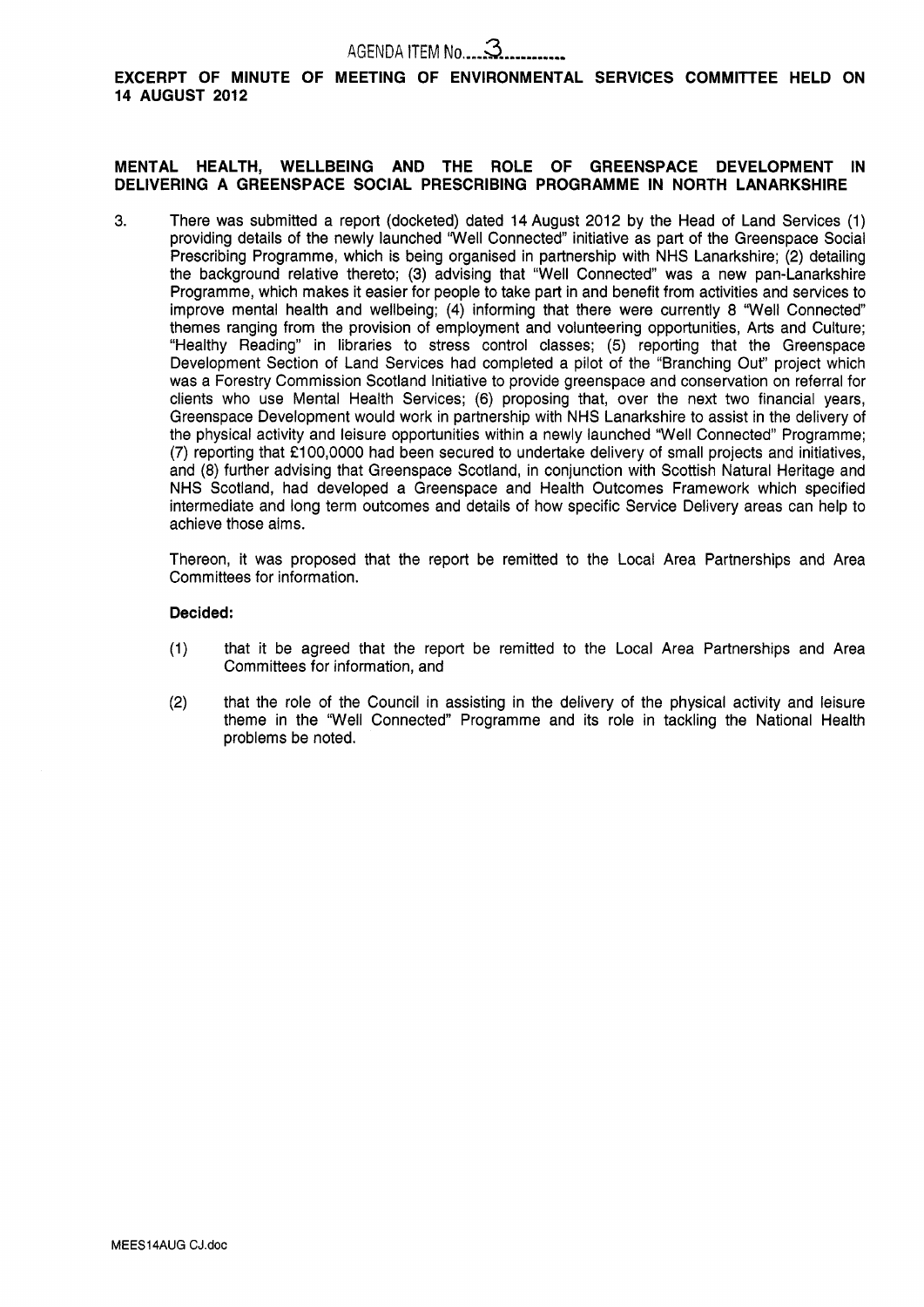## AGENDA ITEM No .... **a..........,**

EXCERPT OF MINUTE OF MEETING OF ENVIRONMENTAL SERVICES COMMITTEE HELD ON **14 AUGUST 2012** 

### **MENTAL HEALTH, WELLBEING AND THE ROLE OF GREENSPACE DEVELOPMENT IN DELIVERING A GREENSPACE SOCIAL PRESCRIBING PROGRAMME IN NORTH LANARKSHIRE**

**3.** There was submitted a report (docketed) dated 14 August 2012 by the Head of Land Services (1) providing details of the newly launched "Well Connected" initiative as part of the Greenspace Social Prescribing Programme, which is being organised in partnership with NHS Lanarkshire; (2) detailing the background relative thereto; (3) advising that "Well Connected" was a new pan-Lanarkshire Programme, which makes it easier for people to take part in and benefit from activities and services to improve mental health and wellbeing; (4) informing that there were currently 8 "Well Connected themes ranging from the provision of employment and volunteering opportunities, Arts and Culture; "Healthy Reading" in libraries to stress control classes; (5) reporting that the Greenspace Development Section of Land Services had completed a pilot of the "Branching Out" project which was a Forestry Commission Scotland Initiative to provide greenspace and conservation on referral for clients who use Mental Health Services; (6) proposing that, over the next two financial years, Greenspace Development would work in partnership with NHS Lanarkshire to assist in the delivery of the physical activity and leisure opportunities within a newly launched "Well Connected" Programme; (7) reporting that £100,0000 had been secured to undertake delivery of small projects and initiatives, and (8) further advising that Greenspace Scotland, in conjunction with Scottish Natural Heritage and NHS Scotland, had developed a Greenspace and Health Outcomes Framework which specified intermediate and long term outcomes and details of how specific Service Delivery areas can help to achieve those aims.

Thereon, it was proposed that the report be remitted to the Local Area Partnerships and Area Committees for information.

### **Decided:**

- (1) that it be agreed that the report be remitted to the Local Area Partnerships and Area Committees for information, and
- (2) that the role of the Council in assisting in the delivery of the physical activity and leisure theme in the 'Well Connected" Programme and its role in tackling the National Health problems be noted.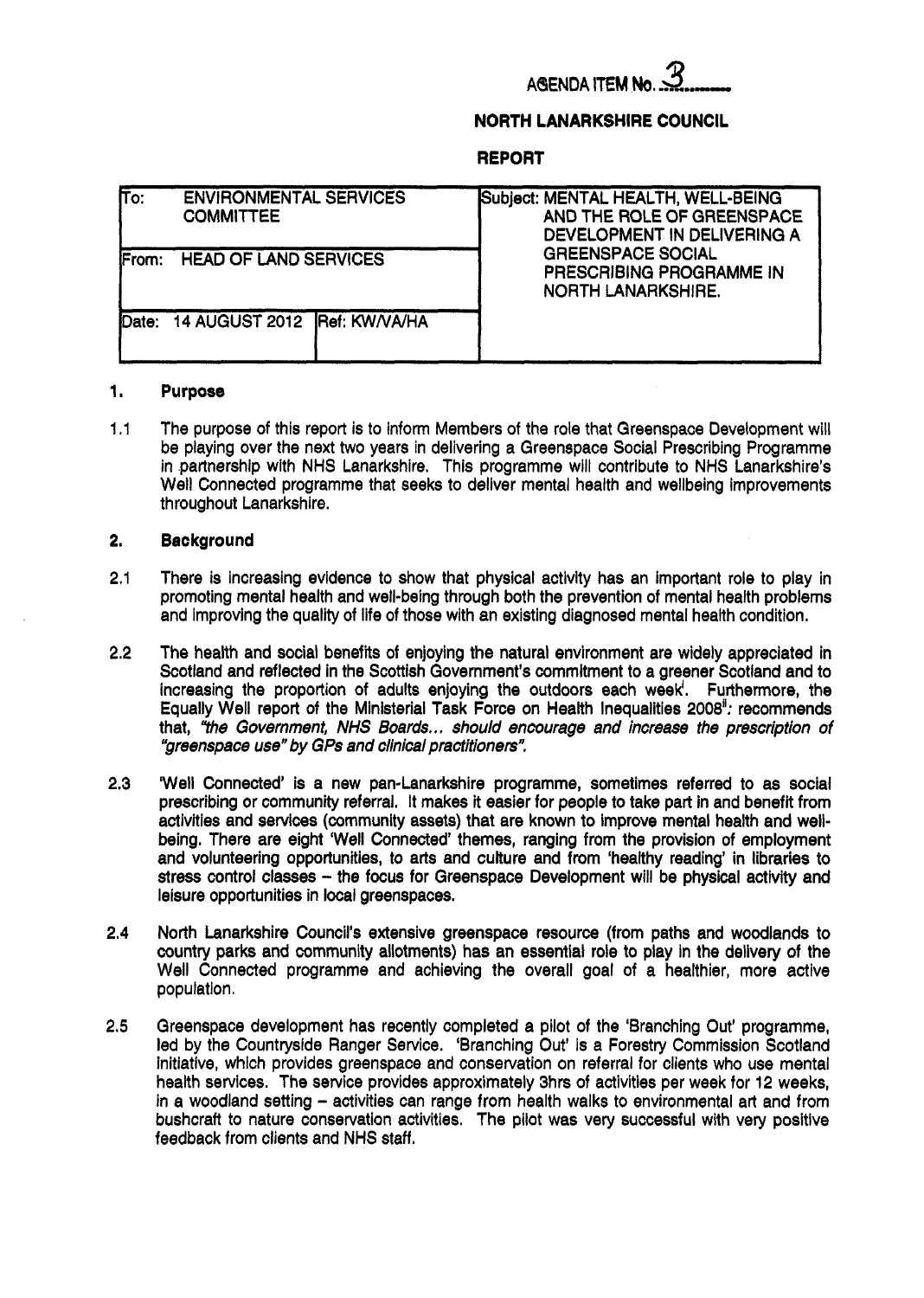# **AGENDA ITEM N**

### **NORTH LANARKSHIRE COUNCIL**

### **REPORT**

| $\overline{\text{fro:}}$ | <b>ENVIRONMENTAL SERVICES</b><br><b>COMMITTEE</b> | Subject: MENTAL HEALTH, WELL-BEING<br>AND THE ROLE OF GREENSPACE<br>DEVELOPMENT IN DELIVERING A |
|--------------------------|---------------------------------------------------|-------------------------------------------------------------------------------------------------|
| From:                    | <b>HEAD OF LAND SERVICES</b>                      | <b>GREENSPACE SOCIAL</b><br>PRESCRIBING PROGRAMME IN<br><b>NORTH LANARKSHIRE.</b>               |
| Date:                    | 14 AUGUST 2012 Ref: KW/VA/HA                      |                                                                                                 |

#### **1. Purpose**

1 .I The purpose of this report is to inform Members of the role that Greenspace Development will be playing over the next two years in delivering a Greenspace Social Prescribing Programme in partnership with NHS Lanarkshire. This programme will contribute to NHS Lanarkshire's Well Connected programme that seeks to deliver mental health and wellbeing improvements throughout Lanarkshire.

#### **2. Background**

- **2.1**  There is increasing evidence to show that physical activity has an important role to play in promoting mental health and well-being through both the prevention of mental health problems and improving the quality of life of those with an existing diagnosed mental health condition.
- **2.2**  The health and social benefits of enjoying the natural environment are widely appreciated in Scotland and reflected in the Scottish Government's commitment to a greener Scotland and to increasing the proportion of adults enjoying the outdoors each week'. Furthermore, the Equally Well report of the Ministerial Task Force on Health Inequalities **2008":** recommends that, *"the Government,* NHS *Boards..* , *should encourage and increase the prescription of "greenspace* **we"** *by GPs and clinical practitioners'!*
- **2.3 Well** Connected' is a new pan-Lanarkshire programme, sometimes referred to as social prescribing or community referral. It makes it easier for people to take part in and benefit from activities and services (community assets) that are known to improve mental health and wellbeing. There are eight 'Well Connected' themes, ranging from the provision of employment and volunteering opportunities, to arts and culture and from 'healthy reading' in libraries to stress control classes - the focus for Greenspace Development will be physical activity and leisure opportunities in local greenspaces.
- **2.4**  North Lanarkshire Council's extensive greenspace resource (from paths and woodlands to country parks and community allotments) has an essential role to play in the delivery of the Well Connected programme and achieving the overall goal of a healthier, more active population.
- **2.5**  Greenspace development has recently completed a pilot of the 'Branching Out' programme, led by the Countryside Ranger Service. 'Branching Out' is a Forestry Commission Scotland initiative, which provides greenspace and conservation on referral for clients who **use** mental health services. The service provides approximately 3hrs **of** activities per week for 12 weeks, in a woodland setting - activities can range from health walks to environmental art and from bushcraft to nature conservation activities. The pilot was very successful with very positive feedback from clients and NHS staff.